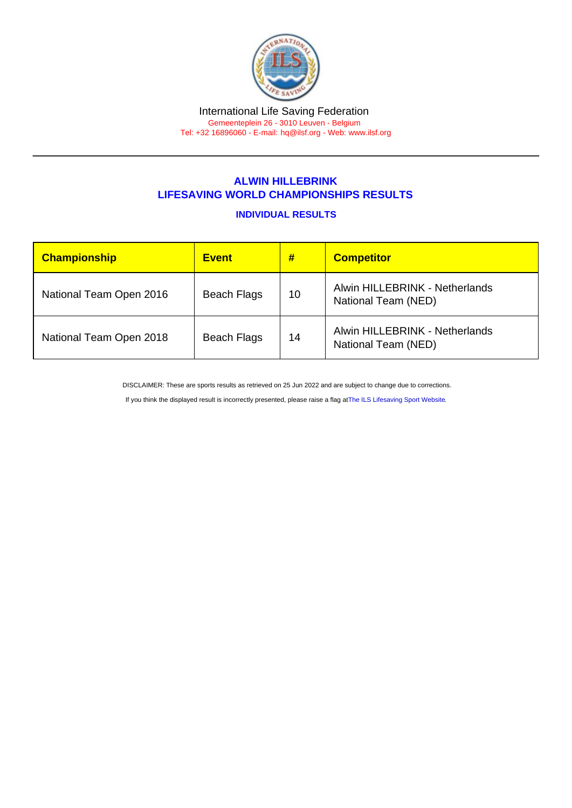## ALWIN HILLEBRINK LIFESAVING WORLD CHAMPIONSHIPS RESULTS

## INDIVIDUAL RESULTS

| Championship            | <b>Event</b>       | #  | <b>Competitor</b>                                     |
|-------------------------|--------------------|----|-------------------------------------------------------|
| National Team Open 2016 | <b>Beach Flags</b> | 10 | Alwin HILLEBRINK - Netherlands<br>National Team (NED) |
| National Team Open 2018 | <b>Beach Flags</b> | 14 | Alwin HILLEBRINK - Netherlands<br>National Team (NED) |

DISCLAIMER: These are sports results as retrieved on 25 Jun 2022 and are subject to change due to corrections.

If you think the displayed result is incorrectly presented, please raise a flag at [The ILS Lifesaving Sport Website.](https://sport.ilsf.org)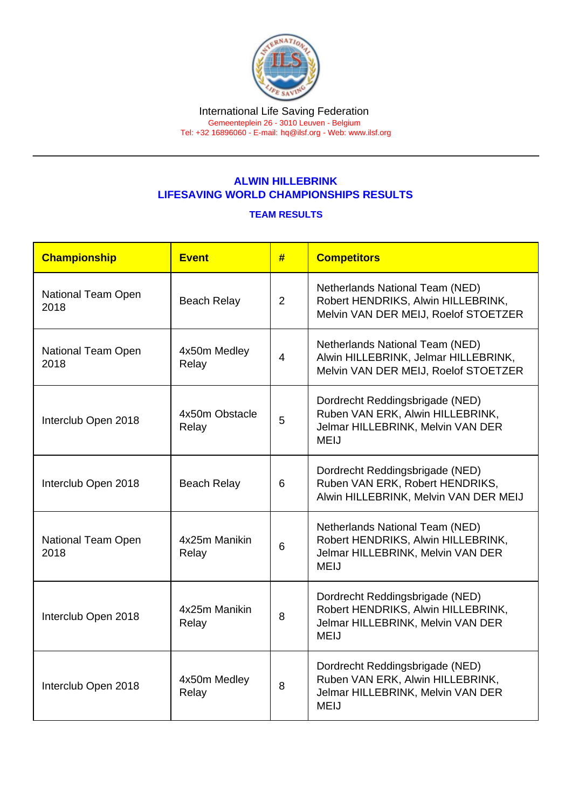## ALWIN HILLEBRINK LIFESAVING WORLD CHAMPIONSHIPS RESULTS

## TEAM RESULTS

| Championship               | <b>Event</b>            | #              | <b>Competitors</b>                                                                                                        |
|----------------------------|-------------------------|----------------|---------------------------------------------------------------------------------------------------------------------------|
| National Team Open<br>2018 | <b>Beach Relay</b>      | 2              | Netherlands National Team (NED)<br>Robert HENDRIKS, Alwin HILLEBRINK,<br>Melvin VAN DER MEIJ, Roelof STOETZER             |
| National Team Open<br>2018 | 4x50m Medley<br>Relay   | $\overline{4}$ | Netherlands National Team (NED)<br>Alwin HILLEBRINK, Jelmar HILLEBRINK,<br>Melvin VAN DER MEIJ, Roelof STOETZER           |
| Interclub Open 2018        | 4x50m Obstacle<br>Relay | 5              | Dordrecht Reddingsbrigade (NED)<br>Ruben VAN ERK, Alwin HILLEBRINK,<br>Jelmar HILLEBRINK, Melvin VAN DER<br><b>MEIJ</b>   |
| Interclub Open 2018        | <b>Beach Relay</b>      | 6              | Dordrecht Reddingsbrigade (NED)<br>Ruben VAN ERK, Robert HENDRIKS,<br>Alwin HILLEBRINK, Melvin VAN DER MEIJ               |
| National Team Open<br>2018 | 4x25m Manikin<br>Relay  | 6              | Netherlands National Team (NED)<br>Robert HENDRIKS, Alwin HILLEBRINK,<br>Jelmar HILLEBRINK, Melvin VAN DER<br><b>MEIJ</b> |
| Interclub Open 2018        | 4x25m Manikin<br>Relay  | 8              | Dordrecht Reddingsbrigade (NED)<br>Robert HENDRIKS, Alwin HILLEBRINK,<br>Jelmar HILLEBRINK, Melvin VAN DER<br><b>MEIJ</b> |
| Interclub Open 2018        | 4x50m Medley<br>Relay   | 8              | Dordrecht Reddingsbrigade (NED)<br>Ruben VAN ERK, Alwin HILLEBRINK,<br>Jelmar HILLEBRINK, Melvin VAN DER<br><b>MEIJ</b>   |